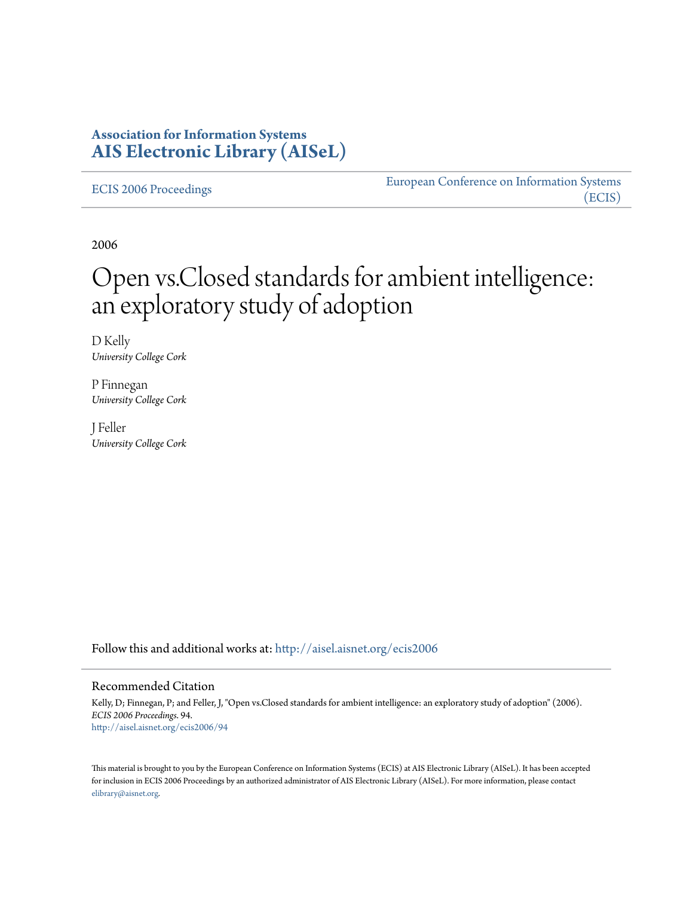### **Association for Information Systems [AIS Electronic Library \(AISeL\)](http://aisel.aisnet.org?utm_source=aisel.aisnet.org%2Fecis2006%2F94&utm_medium=PDF&utm_campaign=PDFCoverPages)**

[ECIS 2006 Proceedings](http://aisel.aisnet.org/ecis2006?utm_source=aisel.aisnet.org%2Fecis2006%2F94&utm_medium=PDF&utm_campaign=PDFCoverPages)

[European Conference on Information Systems](http://aisel.aisnet.org/ecis?utm_source=aisel.aisnet.org%2Fecis2006%2F94&utm_medium=PDF&utm_campaign=PDFCoverPages) [\(ECIS\)](http://aisel.aisnet.org/ecis?utm_source=aisel.aisnet.org%2Fecis2006%2F94&utm_medium=PDF&utm_campaign=PDFCoverPages)

2006

# Open vs.Closed standards for ambient intelligence: an exploratory study of adoption

D Kelly *University College Cork*

P Finnegan *University College Cork*

J Feller *University College Cork*

Follow this and additional works at: [http://aisel.aisnet.org/ecis2006](http://aisel.aisnet.org/ecis2006?utm_source=aisel.aisnet.org%2Fecis2006%2F94&utm_medium=PDF&utm_campaign=PDFCoverPages)

#### Recommended Citation

Kelly, D; Finnegan, P; and Feller, J, "Open vs.Closed standards for ambient intelligence: an exploratory study of adoption" (2006). *ECIS 2006 Proceedings*. 94. [http://aisel.aisnet.org/ecis2006/94](http://aisel.aisnet.org/ecis2006/94?utm_source=aisel.aisnet.org%2Fecis2006%2F94&utm_medium=PDF&utm_campaign=PDFCoverPages)

This material is brought to you by the European Conference on Information Systems (ECIS) at AIS Electronic Library (AISeL). It has been accepted for inclusion in ECIS 2006 Proceedings by an authorized administrator of AIS Electronic Library (AISeL). For more information, please contact [elibrary@aisnet.org.](mailto:elibrary@aisnet.org%3E)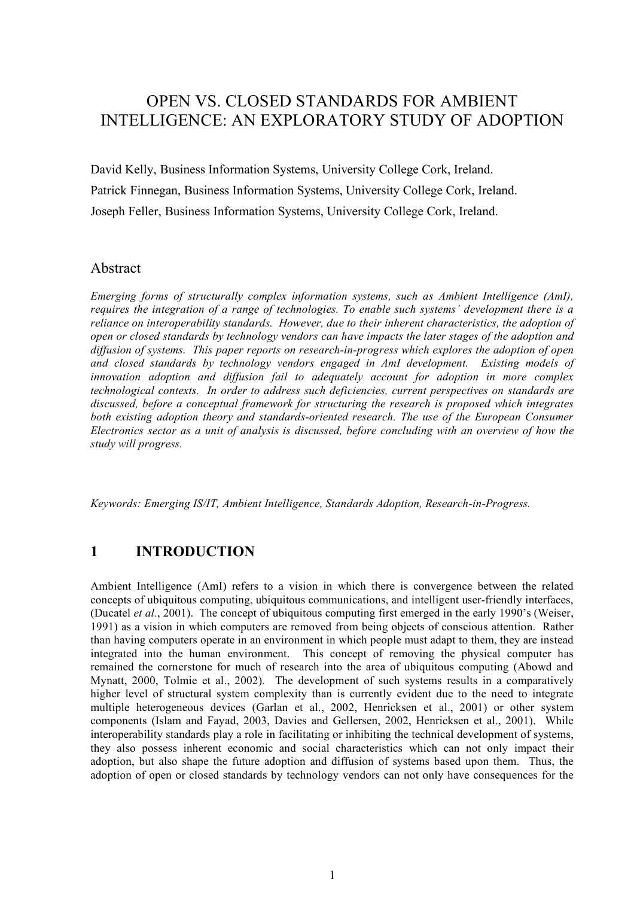## OPEN VS. CLOSED STANDARDS FOR AMBIENT INTELLIGENCE: AN EXPLORATORY STUDY OF ADOPTION

David Kelly, Business Information Systems, University College Cork, Ireland. Patrick Finnegan, Business Information Systems, University College Cork, Ireland. Joseph Feller, Business Information Systems, University College Cork, Ireland.

#### Abstract

*Emerging forms of structurally complex information systems, such as Ambient Intelligence (AmI), requires the integration of a range of technologies. To enable such systems' development there is a reliance on interoperability standards. However, due to their inherent characteristics, the adoption of open or closed standards by technology vendors can have impacts the later stages of the adoption and diffusion of systems. This paper reports on research-in-progress which explores the adoption of open and closed standards by technology vendors engaged in AmI development. Existing models of innovation adoption and diffusion fail to adequately account for adoption in more complex technological contexts. In order to address such deficiencies, current perspectives on standards are discussed, before a conceptual framework for structuring the research is proposed which integrates both existing adoption theory and standards-oriented research. The use of the European Consumer Electronics sector as a unit of analysis is discussed, before concluding with an overview of how the study will progress.*

*Keywords: Emerging IS/IT, Ambient Intelligence, Standards Adoption, Research-in-Progress.*

#### **1 INTRODUCTION**

Ambient Intelligence (AmI) refers to a vision in which there is convergence between the related concepts of ubiquitous computing, ubiquitous communications, and intelligent user-friendly interfaces, (Ducatel *et al.*, 2001). The concept of ubiquitous computing first emerged in the early 1990's (Weiser, 1991) as a vision in which computers are removed from being objects of conscious attention. Rather than having computers operate in an environment in which people must adapt to them, they are instead integrated into the human environment. This concept of removing the physical computer has remained the cornerstone for much of research into the area of ubiquitous computing (Abowd and Mynatt, 2000, Tolmie et al., 2002). The development of such systems results in a comparatively higher level of structural system complexity than is currently evident due to the need to integrate multiple heterogeneous devices (Garlan et al., 2002, Henricksen et al., 2001) or other system components (Islam and Fayad, 2003, Davies and Gellersen, 2002, Henricksen et al., 2001). While interoperability standards play a role in facilitating or inhibiting the technical development of systems, they also possess inherent economic and social characteristics which can not only impact their adoption, but also shape the future adoption and diffusion of systems based upon them. Thus, the adoption of open or closed standards by technology vendors can not only have consequences for the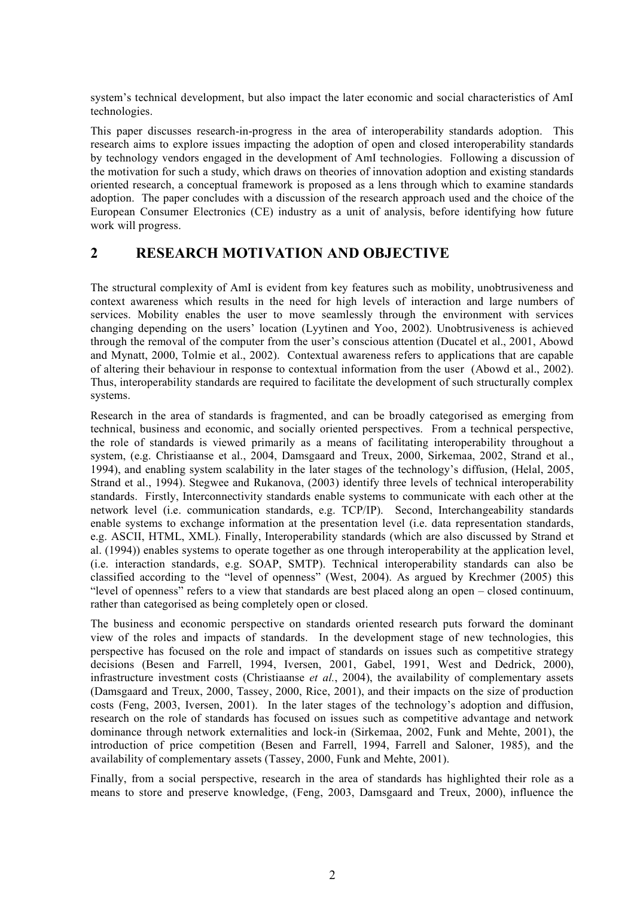system's technical development, but also impact the later economic and social characteristics of AmI technologies.

This paper discusses research-in-progress in the area of interoperability standards adoption. This research aims to explore issues impacting the adoption of open and closed interoperability standards by technology vendors engaged in the development of AmI technologies. Following a discussion of the motivation for such a study, which draws on theories of innovation adoption and existing standards oriented research, a conceptual framework is proposed as a lens through which to examine standards adoption. The paper concludes with a discussion of the research approach used and the choice of the European Consumer Electronics (CE) industry as a unit of analysis, before identifying how future work will progress.

#### **2 RESEARCH MOTIVATION AND OBJECTIVE**

The structural complexity of AmI is evident from key features such as mobility, unobtrusiveness and context awareness which results in the need for high levels of interaction and large numbers of services. Mobility enables the user to move seamlessly through the environment with services changing depending on the users' location (Lyytinen and Yoo, 2002). Unobtrusiveness is achieved through the removal of the computer from the user's conscious attention (Ducatel et al., 2001, Abowd and Mynatt, 2000, Tolmie et al., 2002). Contextual awareness refers to applications that are capable of altering their behaviour in response to contextual information from the user (Abowd et al., 2002). Thus, interoperability standards are required to facilitate the development of such structurally complex systems.

Research in the area of standards is fragmented, and can be broadly categorised as emerging from technical, business and economic, and socially oriented perspectives. From a technical perspective, the role of standards is viewed primarily as a means of facilitating interoperability throughout a system, (e.g. Christiaanse et al., 2004, Damsgaard and Treux, 2000, Sirkemaa, 2002, Strand et al., 1994), and enabling system scalability in the later stages of the technology's diffusion, (Helal, 2005, Strand et al., 1994). Stegwee and Rukanova, (2003) identify three levels of technical interoperability standards. Firstly, Interconnectivity standards enable systems to communicate with each other at the network level (i.e. communication standards, e.g. TCP/IP). Second, Interchangeability standards enable systems to exchange information at the presentation level (i.e. data representation standards, e.g. ASCII, HTML, XML). Finally, Interoperability standards (which are also discussed by Strand et al. (1994)) enables systems to operate together as one through interoperability at the application level, (i.e. interaction standards, e.g. SOAP, SMTP). Technical interoperability standards can also be classified according to the "level of openness" (West, 2004). As argued by Krechmer (2005) this "level of openness" refers to a view that standards are best placed along an open – closed continuum, rather than categorised as being completely open or closed.

The business and economic perspective on standards oriented research puts forward the dominant view of the roles and impacts of standards. In the development stage of new technologies, this perspective has focused on the role and impact of standards on issues such as competitive strategy decisions (Besen and Farrell, 1994, Iversen, 2001, Gabel, 1991, West and Dedrick, 2000), infrastructure investment costs (Christiaanse *et al.*, 2004), the availability of complementary assets (Damsgaard and Treux, 2000, Tassey, 2000, Rice, 2001), and their impacts on the size of production costs (Feng, 2003, Iversen, 2001). In the later stages of the technology's adoption and diffusion, research on the role of standards has focused on issues such as competitive advantage and network dominance through network externalities and lock-in (Sirkemaa, 2002, Funk and Mehte, 2001), the introduction of price competition (Besen and Farrell, 1994, Farrell and Saloner, 1985), and the availability of complementary assets (Tassey, 2000, Funk and Mehte, 2001).

Finally, from a social perspective, research in the area of standards has highlighted their role as a means to store and preserve knowledge, (Feng, 2003, Damsgaard and Treux, 2000), influence the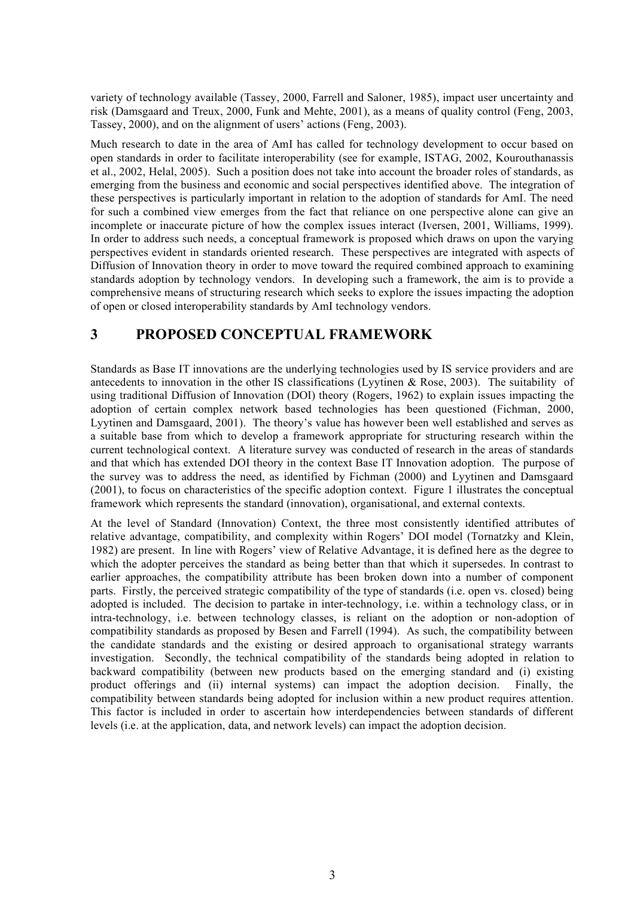variety of technology available (Tassey, 2000, Farrell and Saloner, 1985), impact user uncertainty and risk (Damsgaard and Treux, 2000, Funk and Mehte, 2001), as a means of quality control (Feng, 2003, Tassey, 2000), and on the alignment of users' actions (Feng, 2003).

Much research to date in the area of AmI has called for technology development to occur based on open standards in order to facilitate interoperability (see for example, ISTAG, 2002, Kourouthanassis et al., 2002, Helal, 2005). Such a position does not take into account the broader roles of standards, as emerging from the business and economic and social perspectives identified above. The integration of these perspectives is particularly important in relation to the adoption of standards for AmI. The need for such a combined view emerges from the fact that reliance on one perspective alone can give an incomplete or inaccurate picture of how the complex issues interact (Iversen, 2001, Williams, 1999). In order to address such needs, a conceptual framework is proposed which draws on upon the varying perspectives evident in standards oriented research. These perspectives are integrated with aspects of Diffusion of Innovation theory in order to move toward the required combined approach to examining standards adoption by technology vendors. In developing such a framework, the aim is to provide a comprehensive means of structuring research which seeks to explore the issues impacting the adoption of open or closed interoperability standards by AmI technology vendors.

### **3 PROPOSED CONCEPTUAL FRAMEWORK**

Standards as Base IT innovations are the underlying technologies used by IS service providers and are antecedents to innovation in the other IS classifications (Lyytinen & Rose, 2003). The suitability of using traditional Diffusion of Innovation (DOI) theory (Rogers, 1962) to explain issues impacting the adoption of certain complex network based technologies has been questioned (Fichman, 2000, Lyytinen and Damsgaard, 2001). The theory's value has however been well established and serves as a suitable base from which to develop a framework appropriate for structuring research within the current technological context. A literature survey was conducted of research in the areas of standards and that which has extended DOI theory in the context Base IT Innovation adoption. The purpose of the survey was to address the need, as identified by Fichman (2000) and Lyytinen and Damsgaard (2001), to focus on characteristics of the specific adoption context. Figure 1 illustrates the conceptual framework which represents the standard (innovation), organisational, and external contexts.

At the level of Standard (Innovation) Context, the three most consistently identified attributes of relative advantage, compatibility, and complexity within Rogers' DOI model (Tornatzky and Klein, 1982) are present. In line with Rogers' view of Relative Advantage, it is defined here as the degree to which the adopter perceives the standard as being better than that which it supersedes. In contrast to earlier approaches, the compatibility attribute has been broken down into a number of component parts. Firstly, the perceived strategic compatibility of the type of standards (i.e. open vs. closed) being adopted is included. The decision to partake in inter-technology, i.e. within a technology class, or in intra-technology, i.e. between technology classes, is reliant on the adoption or non-adoption of compatibility standards as proposed by Besen and Farrell (1994). As such, the compatibility between the candidate standards and the existing or desired approach to organisational strategy warrants investigation. Secondly, the technical compatibility of the standards being adopted in relation to backward compatibility (between new products based on the emerging standard and (i) existing product offerings and (ii) internal systems) can impact the adoption decision. Finally, the compatibility between standards being adopted for inclusion within a new product requires attention. This factor is included in order to ascertain how interdependencies between standards of different levels (i.e. at the application, data, and network levels) can impact the adoption decision.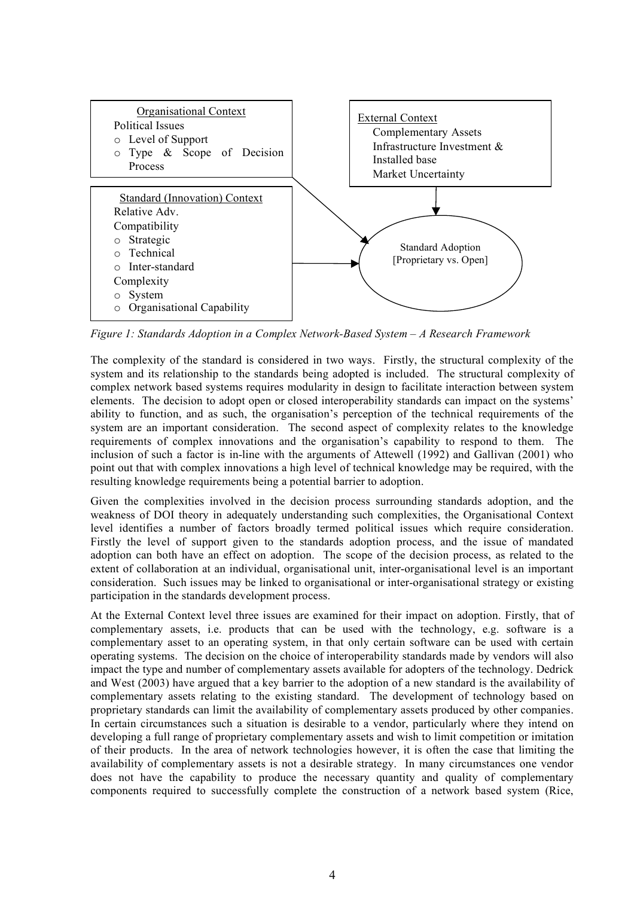

*Figure 1: Standards Adoption in a Complex Network-Based System – A Research Framework*

The complexity of the standard is considered in two ways. Firstly, the structural complexity of the system and its relationship to the standards being adopted is included. The structural complexity of complex network based systems requires modularity in design to facilitate interaction between system elements. The decision to adopt open or closed interoperability standards can impact on the systems' ability to function, and as such, the organisation's perception of the technical requirements of the system are an important consideration. The second aspect of complexity relates to the knowledge requirements of complex innovations and the organisation's capability to respond to them. The inclusion of such a factor is in-line with the arguments of Attewell (1992) and Gallivan (2001) who point out that with complex innovations a high level of technical knowledge may be required, with the resulting knowledge requirements being a potential barrier to adoption.

Given the complexities involved in the decision process surrounding standards adoption, and the weakness of DOI theory in adequately understanding such complexities, the Organisational Context level identifies a number of factors broadly termed political issues which require consideration. Firstly the level of support given to the standards adoption process, and the issue of mandated adoption can both have an effect on adoption. The scope of the decision process, as related to the extent of collaboration at an individual, organisational unit, inter-organisational level is an important consideration. Such issues may be linked to organisational or inter-organisational strategy or existing participation in the standards development process.

At the External Context level three issues are examined for their impact on adoption. Firstly, that of complementary assets, i.e. products that can be used with the technology, e.g. software is a complementary asset to an operating system, in that only certain software can be used with certain operating systems. The decision on the choice of interoperability standards made by vendors will also impact the type and number of complementary assets available for adopters of the technology. Dedrick and West (2003) have argued that a key barrier to the adoption of a new standard is the availability of complementary assets relating to the existing standard. The development of technology based on proprietary standards can limit the availability of complementary assets produced by other companies. In certain circumstances such a situation is desirable to a vendor, particularly where they intend on developing a full range of proprietary complementary assets and wish to limit competition or imitation of their products. In the area of network technologies however, it is often the case that limiting the availability of complementary assets is not a desirable strategy. In many circumstances one vendor does not have the capability to produce the necessary quantity and quality of complementary components required to successfully complete the construction of a network based system (Rice,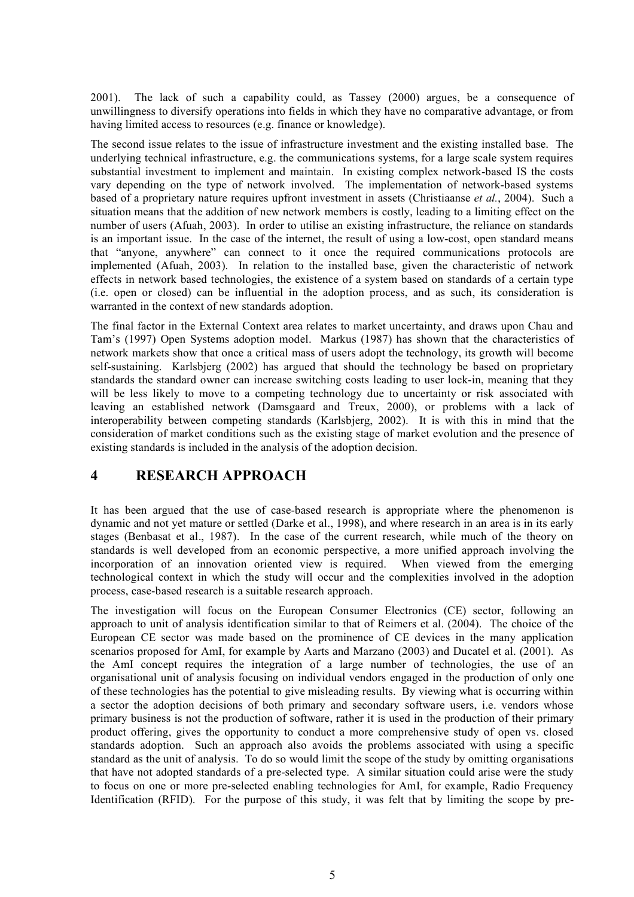2001). The lack of such a capability could, as Tassey (2000) argues, be a consequence of unwillingness to diversify operations into fields in which they have no comparative advantage, or from having limited access to resources (e.g. finance or knowledge).

The second issue relates to the issue of infrastructure investment and the existing installed base. The underlying technical infrastructure, e.g. the communications systems, for a large scale system requires substantial investment to implement and maintain. In existing complex network-based IS the costs vary depending on the type of network involved. The implementation of network-based systems based of a proprietary nature requires upfront investment in assets (Christiaanse *et al.*, 2004). Such a situation means that the addition of new network members is costly, leading to a limiting effect on the number of users (Afuah, 2003). In order to utilise an existing infrastructure, the reliance on standards is an important issue. In the case of the internet, the result of using a low-cost, open standard means that "anyone, anywhere" can connect to it once the required communications protocols are implemented (Afuah, 2003). In relation to the installed base, given the characteristic of network effects in network based technologies, the existence of a system based on standards of a certain type (i.e. open or closed) can be influential in the adoption process, and as such, its consideration is warranted in the context of new standards adoption.

The final factor in the External Context area relates to market uncertainty, and draws upon Chau and Tam's (1997) Open Systems adoption model. Markus (1987) has shown that the characteristics of network markets show that once a critical mass of users adopt the technology, its growth will become self-sustaining. Karlsbjerg (2002) has argued that should the technology be based on proprietary standards the standard owner can increase switching costs leading to user lock-in, meaning that they will be less likely to move to a competing technology due to uncertainty or risk associated with leaving an established network (Damsgaard and Treux, 2000), or problems with a lack of interoperability between competing standards (Karlsbjerg, 2002). It is with this in mind that the consideration of market conditions such as the existing stage of market evolution and the presence of existing standards is included in the analysis of the adoption decision.

### **4 RESEARCH APPROACH**

It has been argued that the use of case-based research is appropriate where the phenomenon is dynamic and not yet mature or settled (Darke et al., 1998), and where research in an area is in its early stages (Benbasat et al., 1987). In the case of the current research, while much of the theory on standards is well developed from an economic perspective, a more unified approach involving the incorporation of an innovation oriented view is required. When viewed from the emerging technological context in which the study will occur and the complexities involved in the adoption process, case-based research is a suitable research approach.

The investigation will focus on the European Consumer Electronics (CE) sector, following an approach to unit of analysis identification similar to that of Reimers et al. (2004). The choice of the European CE sector was made based on the prominence of CE devices in the many application scenarios proposed for AmI, for example by Aarts and Marzano (2003) and Ducatel et al. (2001). As the AmI concept requires the integration of a large number of technologies, the use of an organisational unit of analysis focusing on individual vendors engaged in the production of only one of these technologies has the potential to give misleading results. By viewing what is occurring within a sector the adoption decisions of both primary and secondary software users, i.e. vendors whose primary business is not the production of software, rather it is used in the production of their primary product offering, gives the opportunity to conduct a more comprehensive study of open vs. closed standards adoption. Such an approach also avoids the problems associated with using a specific standard as the unit of analysis. To do so would limit the scope of the study by omitting organisations that have not adopted standards of a pre-selected type. A similar situation could arise were the study to focus on one or more pre-selected enabling technologies for AmI, for example, Radio Frequency Identification (RFID). For the purpose of this study, it was felt that by limiting the scope by pre-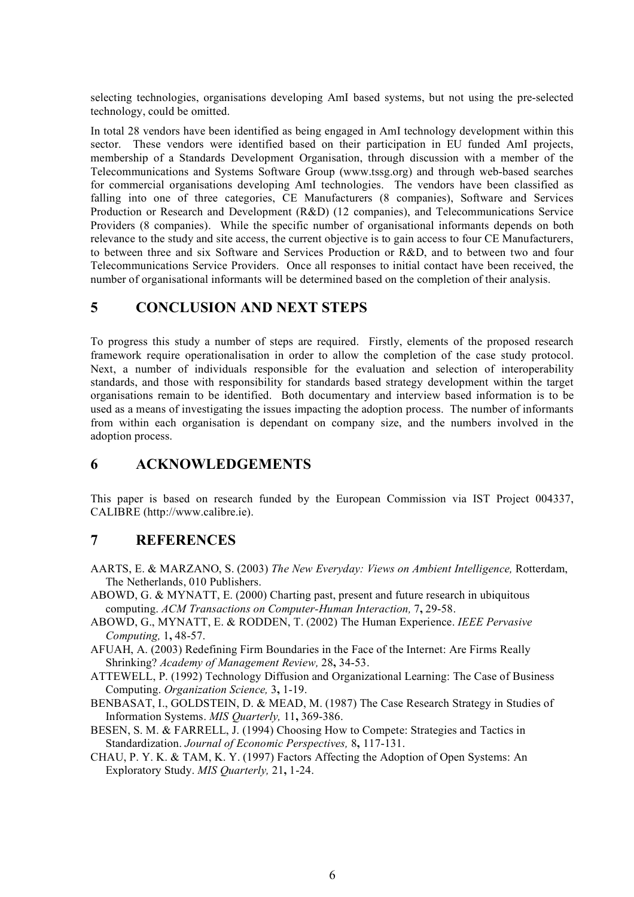selecting technologies, organisations developing AmI based systems, but not using the pre-selected technology, could be omitted.

In total 28 vendors have been identified as being engaged in AmI technology development within this sector. These vendors were identified based on their participation in EU funded AmI projects, membership of a Standards Development Organisation, through discussion with a member of the Telecommunications and Systems Software Group (www.tssg.org) and through web-based searches for commercial organisations developing AmI technologies. The vendors have been classified as falling into one of three categories, CE Manufacturers (8 companies), Software and Services Production or Research and Development (R&D) (12 companies), and Telecommunications Service Providers (8 companies). While the specific number of organisational informants depends on both relevance to the study and site access, the current objective is to gain access to four CE Manufacturers, to between three and six Software and Services Production or R&D, and to between two and four Telecommunications Service Providers. Once all responses to initial contact have been received, the number of organisational informants will be determined based on the completion of their analysis.

#### **5 CONCLUSION AND NEXT STEPS**

To progress this study a number of steps are required. Firstly, elements of the proposed research framework require operationalisation in order to allow the completion of the case study protocol. Next, a number of individuals responsible for the evaluation and selection of interoperability standards, and those with responsibility for standards based strategy development within the target organisations remain to be identified. Both documentary and interview based information is to be used as a means of investigating the issues impacting the adoption process. The number of informants from within each organisation is dependant on company size, and the numbers involved in the adoption process.

### **6 ACKNOWLEDGEMENTS**

This paper is based on research funded by the European Commission via IST Project 004337, CALIBRE (http://www.calibre.ie).

#### **7 REFERENCES**

- AARTS, E. & MARZANO, S. (2003) *The New Everyday: Views on Ambient Intelligence,* Rotterdam, The Netherlands, 010 Publishers.
- ABOWD, G. & MYNATT, E. (2000) Charting past, present and future research in ubiquitous computing. *ACM Transactions on Computer-Human Interaction,* 7**,** 29-58.
- ABOWD, G., MYNATT, E. & RODDEN, T. (2002) The Human Experience. *IEEE Pervasive Computing,* 1**,** 48-57.
- AFUAH, A. (2003) Redefining Firm Boundaries in the Face of the Internet: Are Firms Really Shrinking? *Academy of Management Review,* 28**,** 34-53.
- ATTEWELL, P. (1992) Technology Diffusion and Organizational Learning: The Case of Business Computing. *Organization Science,* 3**,** 1-19.
- BENBASAT, I., GOLDSTEIN, D. & MEAD, M. (1987) The Case Research Strategy in Studies of Information Systems. *MIS Quarterly,* 11**,** 369-386.
- BESEN, S. M. & FARRELL, J. (1994) Choosing How to Compete: Strategies and Tactics in Standardization. *Journal of Economic Perspectives,* 8**,** 117-131.
- CHAU, P. Y. K. & TAM, K. Y. (1997) Factors Affecting the Adoption of Open Systems: An Exploratory Study. *MIS Quarterly,* 21**,** 1-24.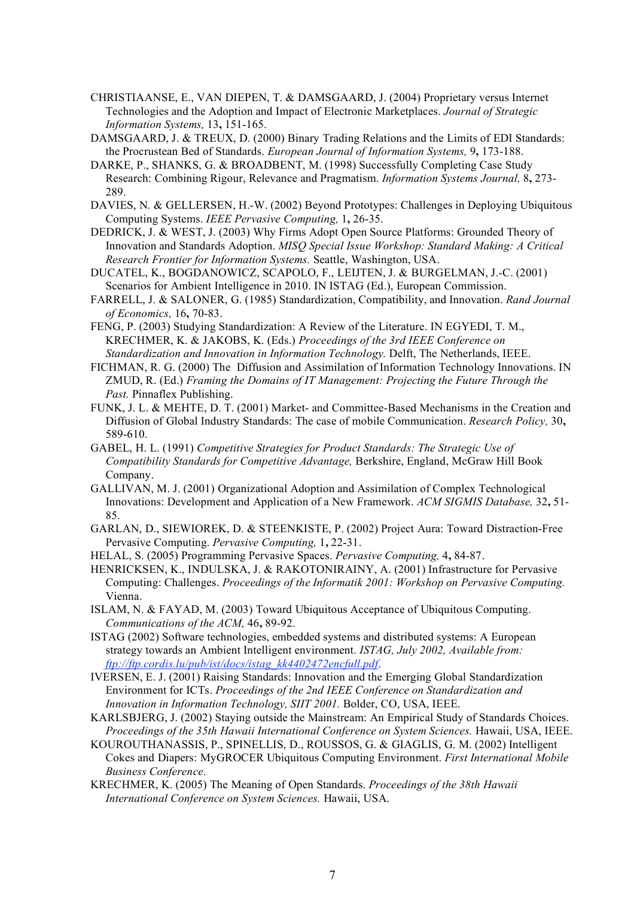- CHRISTIAANSE, E., VAN DIEPEN, T. & DAMSGAARD, J. (2004) Proprietary versus Internet Technologies and the Adoption and Impact of Electronic Marketplaces. *Journal of Strategic Information Systems,* 13**,** 151-165.
- DAMSGAARD, J. & TREUX, D. (2000) Binary Trading Relations and the Limits of EDI Standards: the Procrustean Bed of Standards. *European Journal of Information Systems,* 9**,** 173-188.
- DARKE, P., SHANKS, G. & BROADBENT, M. (1998) Successfully Completing Case Study Research: Combining Rigour, Relevance and Pragmatism. *Information Systems Journal,* 8**,** 273- 289.
- DAVIES, N. & GELLERSEN, H.-W. (2002) Beyond Prototypes: Challenges in Deploying Ubiquitous Computing Systems. *IEEE Pervasive Computing,* 1**,** 26-35.
- DEDRICK, J. & WEST, J. (2003) Why Firms Adopt Open Source Platforms: Grounded Theory of Innovation and Standards Adoption. *MISQ Special Issue Workshop: Standard Making: A Critical Research Frontier for Information Systems.* Seattle, Washington, USA.
- DUCATEL, K., BOGDANOWICZ, SCAPOLO, F., LEIJTEN, J. & BURGELMAN, J.-C. (2001) Scenarios for Ambient Intelligence in 2010. IN ISTAG (Ed.), European Commission.
- FARRELL, J. & SALONER, G. (1985) Standardization, Compatibility, and Innovation. *Rand Journal of Economics,* 16**,** 70-83.
- FENG, P. (2003) Studying Standardization: A Review of the Literature. IN EGYEDI, T. M., KRECHMER, K. & JAKOBS, K. (Eds.) *Proceedings of the 3rd IEEE Conference on Standardization and Innovation in Information Technology.* Delft, The Netherlands, IEEE.
- FICHMAN, R. G. (2000) The Diffusion and Assimilation of Information Technology Innovations. IN ZMUD, R. (Ed.) *Framing the Domains of IT Management: Projecting the Future Through the Past.* Pinnaflex Publishing.
- FUNK, J. L. & MEHTE, D. T. (2001) Market- and Committee-Based Mechanisms in the Creation and Diffusion of Global Industry Standards: The case of mobile Communication. *Research Policy,* 30**,** 589-610.
- GABEL, H. L. (1991) *Competitive Strategies for Product Standards: The Strategic Use of Compatibility Standards for Competitive Advantage,* Berkshire, England, McGraw Hill Book Company.
- GALLIVAN, M. J. (2001) Organizational Adoption and Assimilation of Complex Technological Innovations: Development and Application of a New Framework. *ACM SIGMIS Database,* 32**,** 51- 85.
- GARLAN, D., SIEWIOREK, D. & STEENKISTE, P. (2002) Project Aura: Toward Distraction-Free Pervasive Computing. *Pervasive Computing,* 1**,** 22-31.
- HELAL, S. (2005) Programming Pervasive Spaces. *Pervasive Computing,* 4**,** 84-87.
- HENRICKSEN, K., INDULSKA, J. & RAKOTONIRAINY, A. (2001) Infrastructure for Pervasive Computing: Challenges. *Proceedings of the Informatik 2001: Workshop on Pervasive Computing.* Vienna.
- ISLAM, N. & FAYAD, M. (2003) Toward Ubiquitous Acceptance of Ubiquitous Computing. *Communications of the ACM,* 46**,** 89-92.
- ISTAG (2002) Software technologies, embedded systems and distributed systems: A European strategy towards an Ambient Intelligent environment. *ISTAG, July 2002, Available from: ftp://ftp.cordis.lu/pub/ist/docs/istag\_kk4402472encfull.pdf*.
- IVERSEN, E. J. (2001) Raising Standards: Innovation and the Emerging Global Standardization Environment for ICTs. *Proceedings of the 2nd IEEE Conference on Standardization and Innovation in Information Technology, SIIT 2001.* Bolder, CO, USA, IEEE.
- KARLSBJERG, J. (2002) Staying outside the Mainstream: An Empirical Study of Standards Choices. *Proceedings of the 35th Hawaii International Conference on System Sciences.* Hawaii, USA, IEEE.
- KOUROUTHANASSIS, P., SPINELLIS, D., ROUSSOS, G. & GIAGLIS, G. M. (2002) Intelligent Cokes and Diapers: MyGROCER Ubiquitous Computing Environment. *First International Mobile Business Conference.*
- KRECHMER, K. (2005) The Meaning of Open Standards. *Proceedings of the 38th Hawaii International Conference on System Sciences.* Hawaii, USA.